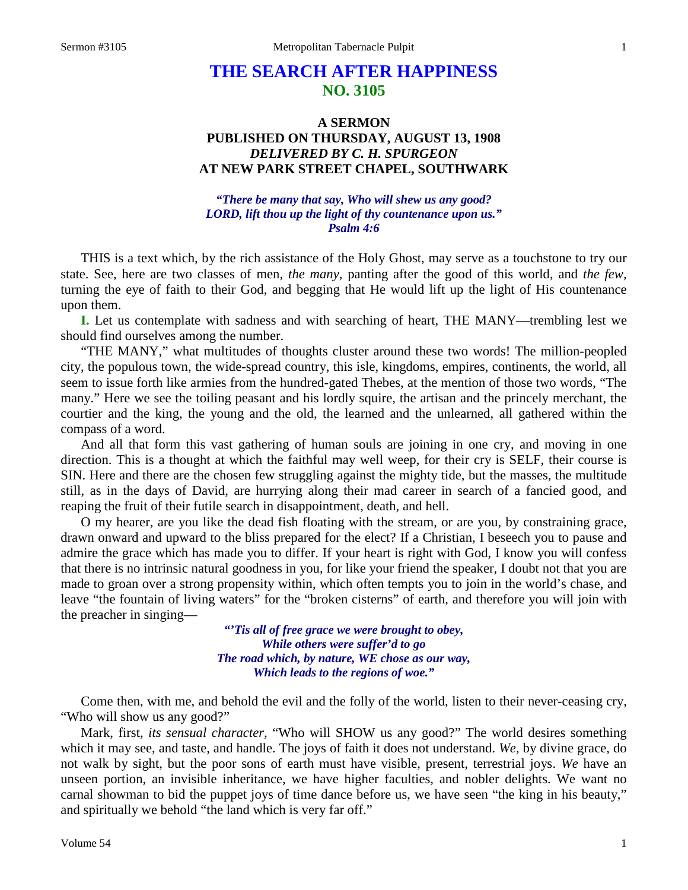# **THE SEARCH AFTER HAPPINESS NO. 3105**

# **A SERMON PUBLISHED ON THURSDAY, AUGUST 13, 1908** *DELIVERED BY C. H. SPURGEON* **AT NEW PARK STREET CHAPEL, SOUTHWARK**

### *"There be many that say, Who will shew us any good? LORD, lift thou up the light of thy countenance upon us." Psalm 4:6*

THIS is a text which, by the rich assistance of the Holy Ghost, may serve as a touchstone to try our state. See, here are two classes of men, *the many,* panting after the good of this world, and *the few,* turning the eye of faith to their God, and begging that He would lift up the light of His countenance upon them.

**I.** Let us contemplate with sadness and with searching of heart, THE MANY—trembling lest we should find ourselves among the number.

"THE MANY," what multitudes of thoughts cluster around these two words! The million-peopled city, the populous town, the wide-spread country, this isle, kingdoms, empires, continents, the world, all seem to issue forth like armies from the hundred-gated Thebes, at the mention of those two words, "The many." Here we see the toiling peasant and his lordly squire, the artisan and the princely merchant, the courtier and the king, the young and the old, the learned and the unlearned, all gathered within the compass of a word.

And all that form this vast gathering of human souls are joining in one cry, and moving in one direction. This is a thought at which the faithful may well weep, for their cry is SELF, their course is SIN. Here and there are the chosen few struggling against the mighty tide, but the masses, the multitude still, as in the days of David, are hurrying along their mad career in search of a fancied good, and reaping the fruit of their futile search in disappointment, death, and hell.

O my hearer, are you like the dead fish floating with the stream, or are you, by constraining grace, drawn onward and upward to the bliss prepared for the elect? If a Christian, I beseech you to pause and admire the grace which has made you to differ. If your heart is right with God, I know you will confess that there is no intrinsic natural goodness in you, for like your friend the speaker, I doubt not that you are made to groan over a strong propensity within, which often tempts you to join in the world's chase, and leave "the fountain of living waters" for the "broken cisterns" of earth, and therefore you will join with the preacher in singing—

> *"'Tis all of free grace we were brought to obey, While others were suffer'd to go The road which, by nature, WE chose as our way, Which leads to the regions of woe."*

Come then, with me, and behold the evil and the folly of the world, listen to their never-ceasing cry, "Who will show us any good?"

Mark, first, *its sensual character,* "Who will SHOW us any good?" The world desires something which it may see, and taste, and handle. The joys of faith it does not understand. *We,* by divine grace, do not walk by sight, but the poor sons of earth must have visible, present, terrestrial joys. *We* have an unseen portion, an invisible inheritance, we have higher faculties, and nobler delights. We want no carnal showman to bid the puppet joys of time dance before us, we have seen "the king in his beauty," and spiritually we behold "the land which is very far off."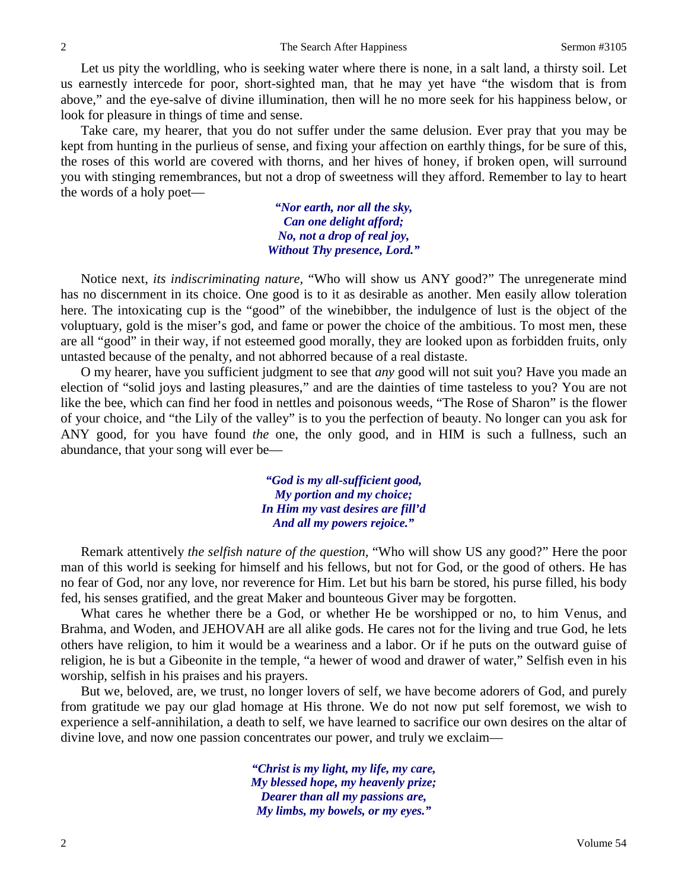Let us pity the worldling, who is seeking water where there is none, in a salt land, a thirsty soil. Let us earnestly intercede for poor, short-sighted man, that he may yet have "the wisdom that is from above," and the eye-salve of divine illumination, then will he no more seek for his happiness below, or look for pleasure in things of time and sense.

Take care, my hearer, that you do not suffer under the same delusion. Ever pray that you may be kept from hunting in the purlieus of sense, and fixing your affection on earthly things, for be sure of this, the roses of this world are covered with thorns, and her hives of honey, if broken open, will surround you with stinging remembrances, but not a drop of sweetness will they afford. Remember to lay to heart the words of a holy poet—

> *"Nor earth, nor all the sky, Can one delight afford; No, not a drop of real joy, Without Thy presence, Lord."*

Notice next, *its indiscriminating nature,* "Who will show us ANY good?" The unregenerate mind has no discernment in its choice. One good is to it as desirable as another. Men easily allow toleration here. The intoxicating cup is the "good" of the winebibber, the indulgence of lust is the object of the voluptuary, gold is the miser's god, and fame or power the choice of the ambitious. To most men, these are all "good" in their way, if not esteemed good morally, they are looked upon as forbidden fruits, only untasted because of the penalty, and not abhorred because of a real distaste.

O my hearer, have you sufficient judgment to see that *any* good will not suit you? Have you made an election of "solid joys and lasting pleasures," and are the dainties of time tasteless to you? You are not like the bee, which can find her food in nettles and poisonous weeds, "The Rose of Sharon" is the flower of your choice, and "the Lily of the valley" is to you the perfection of beauty. No longer can you ask for ANY good, for you have found *the* one, the only good, and in HIM is such a fullness, such an abundance, that your song will ever be—

> *"God is my all-sufficient good, My portion and my choice; In Him my vast desires are fill'd And all my powers rejoice."*

Remark attentively *the selfish nature of the question,* "Who will show US any good?" Here the poor man of this world is seeking for himself and his fellows, but not for God, or the good of others. He has no fear of God, nor any love, nor reverence for Him. Let but his barn be stored, his purse filled, his body fed, his senses gratified, and the great Maker and bounteous Giver may be forgotten.

What cares he whether there be a God, or whether He be worshipped or no, to him Venus, and Brahma, and Woden, and JEHOVAH are all alike gods. He cares not for the living and true God, he lets others have religion, to him it would be a weariness and a labor. Or if he puts on the outward guise of religion, he is but a Gibeonite in the temple, "a hewer of wood and drawer of water," Selfish even in his worship, selfish in his praises and his prayers.

But we, beloved, are, we trust, no longer lovers of self, we have become adorers of God, and purely from gratitude we pay our glad homage at His throne. We do not now put self foremost, we wish to experience a self-annihilation, a death to self, we have learned to sacrifice our own desires on the altar of divine love, and now one passion concentrates our power, and truly we exclaim—

> *"Christ is my light, my life, my care, My blessed hope, my heavenly prize; Dearer than all my passions are, My limbs, my bowels, or my eyes."*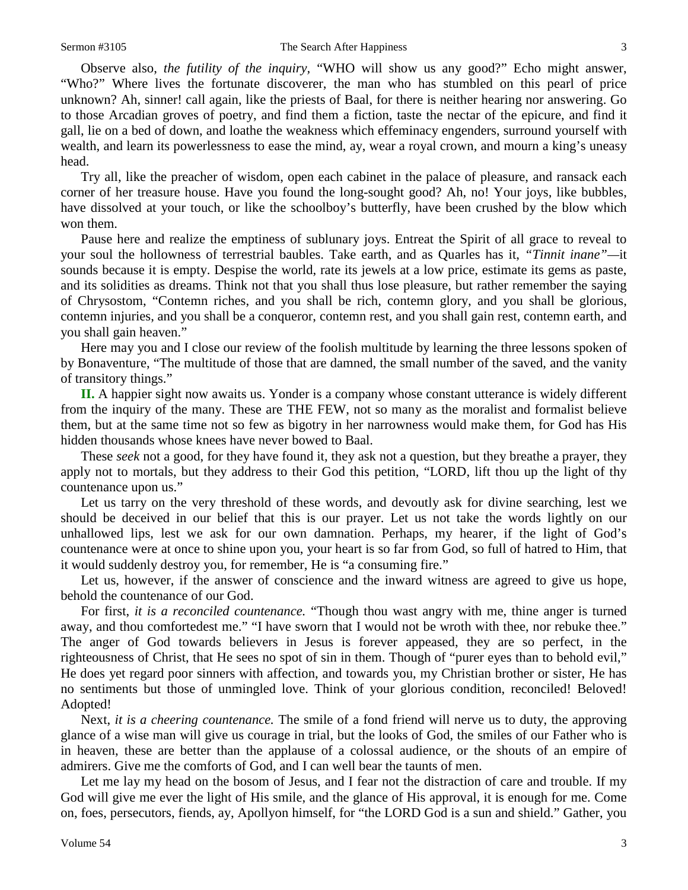Observe also, *the futility of the inquiry,* "WHO will show us any good?" Echo might answer, "Who?" Where lives the fortunate discoverer, the man who has stumbled on this pearl of price unknown? Ah, sinner! call again, like the priests of Baal, for there is neither hearing nor answering. Go to those Arcadian groves of poetry, and find them a fiction, taste the nectar of the epicure, and find it gall, lie on a bed of down, and loathe the weakness which effeminacy engenders, surround yourself with wealth, and learn its powerlessness to ease the mind, ay, wear a royal crown, and mourn a king's uneasy head.

Try all, like the preacher of wisdom, open each cabinet in the palace of pleasure, and ransack each corner of her treasure house. Have you found the long-sought good? Ah, no! Your joys, like bubbles, have dissolved at your touch, or like the schoolboy's butterfly, have been crushed by the blow which won them.

Pause here and realize the emptiness of sublunary joys. Entreat the Spirit of all grace to reveal to your soul the hollowness of terrestrial baubles. Take earth, and as Quarles has it, *"Tinnit inane"—*it sounds because it is empty. Despise the world, rate its jewels at a low price, estimate its gems as paste, and its solidities as dreams. Think not that you shall thus lose pleasure, but rather remember the saying of Chrysostom, "Contemn riches, and you shall be rich, contemn glory, and you shall be glorious, contemn injuries, and you shall be a conqueror, contemn rest, and you shall gain rest, contemn earth, and you shall gain heaven."

Here may you and I close our review of the foolish multitude by learning the three lessons spoken of by Bonaventure, "The multitude of those that are damned, the small number of the saved, and the vanity of transitory things."

**II.** A happier sight now awaits us. Yonder is a company whose constant utterance is widely different from the inquiry of the many. These are THE FEW, not so many as the moralist and formalist believe them, but at the same time not so few as bigotry in her narrowness would make them, for God has His hidden thousands whose knees have never bowed to Baal.

These *seek* not a good, for they have found it, they ask not a question, but they breathe a prayer, they apply not to mortals, but they address to their God this petition, "LORD, lift thou up the light of thy countenance upon us."

Let us tarry on the very threshold of these words, and devoutly ask for divine searching, lest we should be deceived in our belief that this is our prayer. Let us not take the words lightly on our unhallowed lips, lest we ask for our own damnation. Perhaps, my hearer, if the light of God's countenance were at once to shine upon you, your heart is so far from God, so full of hatred to Him, that it would suddenly destroy you, for remember, He is "a consuming fire."

Let us, however, if the answer of conscience and the inward witness are agreed to give us hope, behold the countenance of our God.

For first, *it is a reconciled countenance.* "Though thou wast angry with me, thine anger is turned away, and thou comfortedest me." "I have sworn that I would not be wroth with thee, nor rebuke thee." The anger of God towards believers in Jesus is forever appeased, they are so perfect, in the righteousness of Christ, that He sees no spot of sin in them. Though of "purer eyes than to behold evil," He does yet regard poor sinners with affection, and towards you, my Christian brother or sister, He has no sentiments but those of unmingled love. Think of your glorious condition, reconciled! Beloved! Adopted!

Next, *it is a cheering countenance.* The smile of a fond friend will nerve us to duty, the approving glance of a wise man will give us courage in trial, but the looks of God, the smiles of our Father who is in heaven, these are better than the applause of a colossal audience, or the shouts of an empire of admirers. Give me the comforts of God, and I can well bear the taunts of men.

Let me lay my head on the bosom of Jesus, and I fear not the distraction of care and trouble. If my God will give me ever the light of His smile, and the glance of His approval, it is enough for me. Come on, foes, persecutors, fiends, ay, Apollyon himself, for "the LORD God is a sun and shield." Gather, you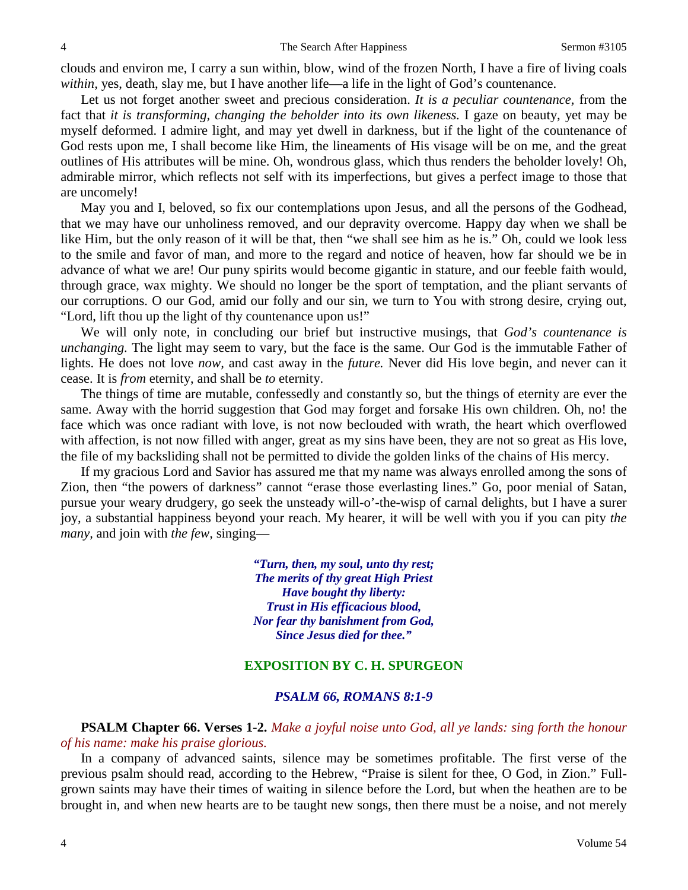clouds and environ me, I carry a sun within, blow, wind of the frozen North, I have a fire of living coals *within*, yes, death, slay me, but I have another life—a life in the light of God's countenance.

Let us not forget another sweet and precious consideration. *It is a peculiar countenance,* from the fact that *it is transforming, changing the beholder into its own likeness*. I gaze on beauty, yet may be myself deformed. I admire light, and may yet dwell in darkness, but if the light of the countenance of God rests upon me, I shall become like Him, the lineaments of His visage will be on me, and the great outlines of His attributes will be mine. Oh, wondrous glass, which thus renders the beholder lovely! Oh, admirable mirror, which reflects not self with its imperfections, but gives a perfect image to those that are uncomely!

May you and I, beloved, so fix our contemplations upon Jesus, and all the persons of the Godhead, that we may have our unholiness removed, and our depravity overcome. Happy day when we shall be like Him, but the only reason of it will be that, then "we shall see him as he is." Oh, could we look less to the smile and favor of man, and more to the regard and notice of heaven, how far should we be in advance of what we are! Our puny spirits would become gigantic in stature, and our feeble faith would, through grace, wax mighty. We should no longer be the sport of temptation, and the pliant servants of our corruptions. O our God, amid our folly and our sin, we turn to You with strong desire, crying out, "Lord, lift thou up the light of thy countenance upon us!"

We will only note, in concluding our brief but instructive musings, that *God's countenance is unchanging.* The light may seem to vary, but the face is the same. Our God is the immutable Father of lights. He does not love *now,* and cast away in the *future.* Never did His love begin, and never can it cease. It is *from* eternity, and shall be *to* eternity.

The things of time are mutable, confessedly and constantly so, but the things of eternity are ever the same. Away with the horrid suggestion that God may forget and forsake His own children. Oh, no! the face which was once radiant with love, is not now beclouded with wrath, the heart which overflowed with affection, is not now filled with anger, great as my sins have been, they are not so great as His love, the file of my backsliding shall not be permitted to divide the golden links of the chains of His mercy.

If my gracious Lord and Savior has assured me that my name was always enrolled among the sons of Zion, then "the powers of darkness" cannot "erase those everlasting lines." Go, poor menial of Satan, pursue your weary drudgery, go seek the unsteady will-o'-the-wisp of carnal delights, but I have a surer joy, a substantial happiness beyond your reach. My hearer, it will be well with you if you can pity *the many,* and join with *the few,* singing—

> *"Turn, then, my soul, unto thy rest; The merits of thy great High Priest Have bought thy liberty: Trust in His efficacious blood, Nor fear thy banishment from God, Since Jesus died for thee."*

#### **EXPOSITION BY C. H. SPURGEON**

#### *PSALM 66, ROMANS 8:1-9*

### **PSALM Chapter 66. Verses 1-2.** *Make a joyful noise unto God, all ye lands: sing forth the honour of his name: make his praise glorious.*

In a company of advanced saints, silence may be sometimes profitable. The first verse of the previous psalm should read, according to the Hebrew, "Praise is silent for thee, O God, in Zion." Fullgrown saints may have their times of waiting in silence before the Lord, but when the heathen are to be brought in, and when new hearts are to be taught new songs, then there must be a noise, and not merely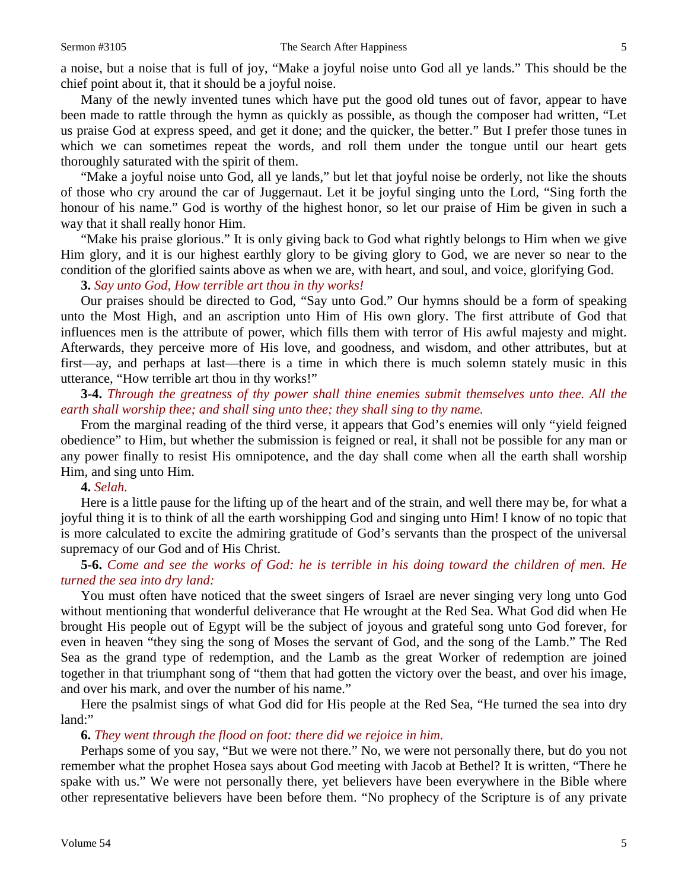a noise, but a noise that is full of joy, "Make a joyful noise unto God all ye lands." This should be the chief point about it, that it should be a joyful noise.

Many of the newly invented tunes which have put the good old tunes out of favor, appear to have been made to rattle through the hymn as quickly as possible, as though the composer had written, "Let us praise God at express speed, and get it done; and the quicker, the better." But I prefer those tunes in which we can sometimes repeat the words, and roll them under the tongue until our heart gets thoroughly saturated with the spirit of them.

"Make a joyful noise unto God, all ye lands," but let that joyful noise be orderly, not like the shouts of those who cry around the car of Juggernaut. Let it be joyful singing unto the Lord, "Sing forth the honour of his name." God is worthy of the highest honor, so let our praise of Him be given in such a way that it shall really honor Him.

"Make his praise glorious." It is only giving back to God what rightly belongs to Him when we give Him glory, and it is our highest earthly glory to be giving glory to God, we are never so near to the condition of the glorified saints above as when we are, with heart, and soul, and voice, glorifying God.

**3.** *Say unto God, How terrible art thou in thy works!*

Our praises should be directed to God, "Say unto God." Our hymns should be a form of speaking unto the Most High, and an ascription unto Him of His own glory. The first attribute of God that influences men is the attribute of power, which fills them with terror of His awful majesty and might. Afterwards, they perceive more of His love, and goodness, and wisdom, and other attributes, but at first—ay, and perhaps at last—there is a time in which there is much solemn stately music in this utterance, "How terrible art thou in thy works!"

**3-4.** *Through the greatness of thy power shall thine enemies submit themselves unto thee. All the earth shall worship thee; and shall sing unto thee; they shall sing to thy name.*

From the marginal reading of the third verse, it appears that God's enemies will only "yield feigned obedience" to Him, but whether the submission is feigned or real, it shall not be possible for any man or any power finally to resist His omnipotence, and the day shall come when all the earth shall worship Him, and sing unto Him.

#### **4.** *Selah.*

Here is a little pause for the lifting up of the heart and of the strain, and well there may be, for what a joyful thing it is to think of all the earth worshipping God and singing unto Him! I know of no topic that is more calculated to excite the admiring gratitude of God's servants than the prospect of the universal supremacy of our God and of His Christ.

**5-6.** *Come and see the works of God: he is terrible in his doing toward the children of men. He turned the sea into dry land:*

You must often have noticed that the sweet singers of Israel are never singing very long unto God without mentioning that wonderful deliverance that He wrought at the Red Sea. What God did when He brought His people out of Egypt will be the subject of joyous and grateful song unto God forever, for even in heaven "they sing the song of Moses the servant of God, and the song of the Lamb." The Red Sea as the grand type of redemption, and the Lamb as the great Worker of redemption are joined together in that triumphant song of "them that had gotten the victory over the beast, and over his image, and over his mark, and over the number of his name."

Here the psalmist sings of what God did for His people at the Red Sea, "He turned the sea into dry land:"

**6.** *They went through the flood on foot: there did we rejoice in him.*

Perhaps some of you say, "But we were not there." No, we were not personally there, but do you not remember what the prophet Hosea says about God meeting with Jacob at Bethel? It is written, "There he spake with us." We were not personally there, yet believers have been everywhere in the Bible where other representative believers have been before them. "No prophecy of the Scripture is of any private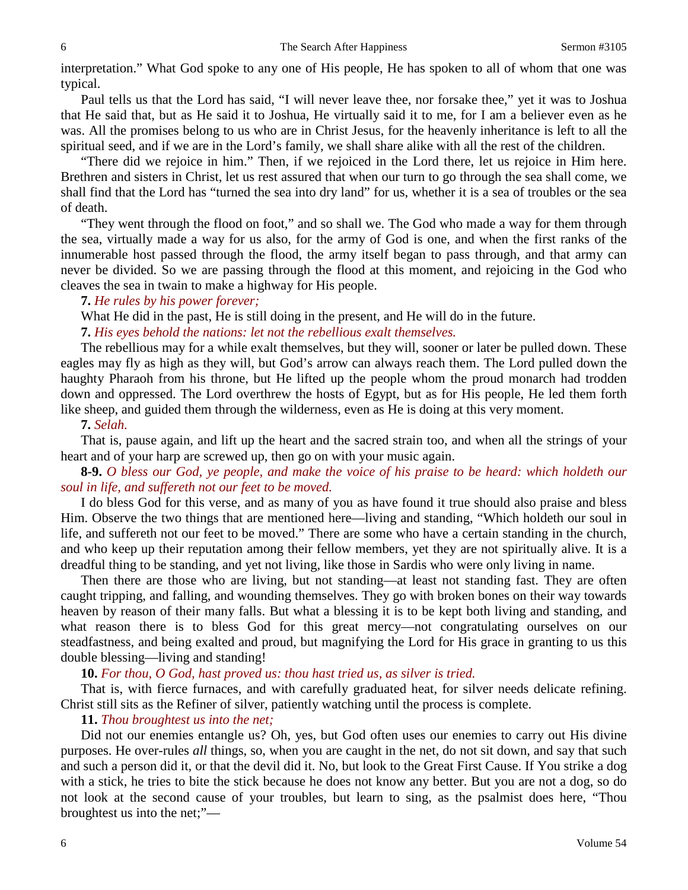interpretation." What God spoke to any one of His people, He has spoken to all of whom that one was typical.

Paul tells us that the Lord has said, "I will never leave thee, nor forsake thee," yet it was to Joshua that He said that, but as He said it to Joshua, He virtually said it to me, for I am a believer even as he was. All the promises belong to us who are in Christ Jesus, for the heavenly inheritance is left to all the spiritual seed, and if we are in the Lord's family, we shall share alike with all the rest of the children.

"There did we rejoice in him." Then, if we rejoiced in the Lord there, let us rejoice in Him here. Brethren and sisters in Christ, let us rest assured that when our turn to go through the sea shall come, we shall find that the Lord has "turned the sea into dry land" for us, whether it is a sea of troubles or the sea of death.

"They went through the flood on foot," and so shall we. The God who made a way for them through the sea, virtually made a way for us also, for the army of God is one, and when the first ranks of the innumerable host passed through the flood, the army itself began to pass through, and that army can never be divided. So we are passing through the flood at this moment, and rejoicing in the God who cleaves the sea in twain to make a highway for His people.

### **7.** *He rules by his power forever;*

What He did in the past, He is still doing in the present, and He will do in the future.

### **7.** *His eyes behold the nations: let not the rebellious exalt themselves.*

The rebellious may for a while exalt themselves, but they will, sooner or later be pulled down. These eagles may fly as high as they will, but God's arrow can always reach them. The Lord pulled down the haughty Pharaoh from his throne, but He lifted up the people whom the proud monarch had trodden down and oppressed. The Lord overthrew the hosts of Egypt, but as for His people, He led them forth like sheep, and guided them through the wilderness, even as He is doing at this very moment.

### **7.** *Selah.*

That is, pause again, and lift up the heart and the sacred strain too, and when all the strings of your heart and of your harp are screwed up, then go on with your music again.

## **8-9.** *O bless our God, ye people, and make the voice of his praise to be heard: which holdeth our soul in life, and suffereth not our feet to be moved.*

I do bless God for this verse, and as many of you as have found it true should also praise and bless Him. Observe the two things that are mentioned here—living and standing, "Which holdeth our soul in life, and suffereth not our feet to be moved." There are some who have a certain standing in the church, and who keep up their reputation among their fellow members, yet they are not spiritually alive. It is a dreadful thing to be standing, and yet not living, like those in Sardis who were only living in name.

Then there are those who are living, but not standing—at least not standing fast. They are often caught tripping, and falling, and wounding themselves. They go with broken bones on their way towards heaven by reason of their many falls. But what a blessing it is to be kept both living and standing, and what reason there is to bless God for this great mercy—not congratulating ourselves on our steadfastness, and being exalted and proud, but magnifying the Lord for His grace in granting to us this double blessing—living and standing!

### **10.** *For thou, O God, hast proved us: thou hast tried us, as silver is tried.*

That is, with fierce furnaces, and with carefully graduated heat, for silver needs delicate refining. Christ still sits as the Refiner of silver, patiently watching until the process is complete.

# **11.** *Thou broughtest us into the net;*

Did not our enemies entangle us? Oh, yes, but God often uses our enemies to carry out His divine purposes. He over-rules *all* things, so, when you are caught in the net, do not sit down, and say that such and such a person did it, or that the devil did it. No, but look to the Great First Cause. If You strike a dog with a stick, he tries to bite the stick because he does not know any better. But you are not a dog, so do not look at the second cause of your troubles, but learn to sing, as the psalmist does here, "Thou broughtest us into the net;"—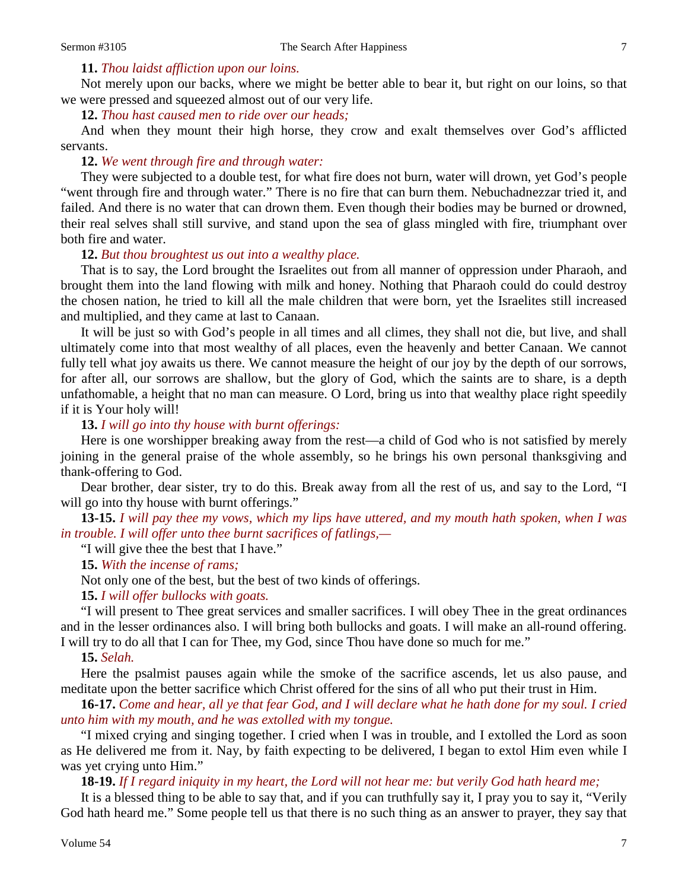### **11.** *Thou laidst affliction upon our loins.*

Not merely upon our backs, where we might be better able to bear it, but right on our loins, so that we were pressed and squeezed almost out of our very life.

#### **12.** *Thou hast caused men to ride over our heads;*

And when they mount their high horse, they crow and exalt themselves over God's afflicted servants.

### **12.** *We went through fire and through water:*

They were subjected to a double test, for what fire does not burn, water will drown, yet God's people "went through fire and through water." There is no fire that can burn them. Nebuchadnezzar tried it, and failed. And there is no water that can drown them. Even though their bodies may be burned or drowned, their real selves shall still survive, and stand upon the sea of glass mingled with fire, triumphant over both fire and water.

### **12.** *But thou broughtest us out into a wealthy place.*

That is to say, the Lord brought the Israelites out from all manner of oppression under Pharaoh, and brought them into the land flowing with milk and honey. Nothing that Pharaoh could do could destroy the chosen nation, he tried to kill all the male children that were born, yet the Israelites still increased and multiplied, and they came at last to Canaan.

It will be just so with God's people in all times and all climes, they shall not die, but live, and shall ultimately come into that most wealthy of all places, even the heavenly and better Canaan. We cannot fully tell what joy awaits us there. We cannot measure the height of our joy by the depth of our sorrows, for after all, our sorrows are shallow, but the glory of God, which the saints are to share, is a depth unfathomable, a height that no man can measure. O Lord, bring us into that wealthy place right speedily if it is Your holy will!

### **13.** *I will go into thy house with burnt offerings:*

Here is one worshipper breaking away from the rest—a child of God who is not satisfied by merely joining in the general praise of the whole assembly, so he brings his own personal thanksgiving and thank-offering to God.

Dear brother, dear sister, try to do this. Break away from all the rest of us, and say to the Lord, "I will go into thy house with burnt offerings."

**13-15.** *I will pay thee my vows, which my lips have uttered, and my mouth hath spoken, when I was in trouble. I will offer unto thee burnt sacrifices of fatlings,—*

"I will give thee the best that I have."

**15.** *With the incense of rams;*

Not only one of the best, but the best of two kinds of offerings.

### **15.** *I will offer bullocks with goats.*

"I will present to Thee great services and smaller sacrifices. I will obey Thee in the great ordinances and in the lesser ordinances also. I will bring both bullocks and goats. I will make an all-round offering. I will try to do all that I can for Thee, my God, since Thou have done so much for me."

#### **15.** *Selah.*

Here the psalmist pauses again while the smoke of the sacrifice ascends, let us also pause, and meditate upon the better sacrifice which Christ offered for the sins of all who put their trust in Him.

**16-17.** *Come and hear, all ye that fear God, and I will declare what he hath done for my soul. I cried unto him with my mouth, and he was extolled with my tongue.*

"I mixed crying and singing together. I cried when I was in trouble, and I extolled the Lord as soon as He delivered me from it. Nay, by faith expecting to be delivered, I began to extol Him even while I was yet crying unto Him."

**18-19.** *If I regard iniquity in my heart, the Lord will not hear me: but verily God hath heard me;*

It is a blessed thing to be able to say that, and if you can truthfully say it, I pray you to say it, "Verily God hath heard me." Some people tell us that there is no such thing as an answer to prayer, they say that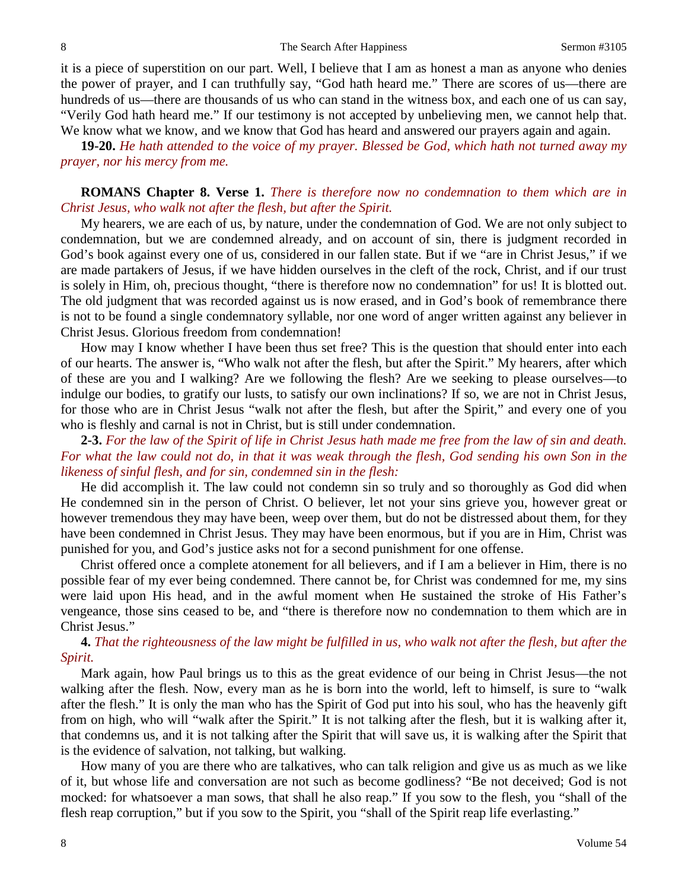it is a piece of superstition on our part. Well, I believe that I am as honest a man as anyone who denies the power of prayer, and I can truthfully say, "God hath heard me." There are scores of us—there are hundreds of us—there are thousands of us who can stand in the witness box, and each one of us can say, "Verily God hath heard me." If our testimony is not accepted by unbelieving men, we cannot help that. We know what we know, and we know that God has heard and answered our prayers again and again.

**19-20.** *He hath attended to the voice of my prayer. Blessed be God, which hath not turned away my prayer, nor his mercy from me.*

### **ROMANS Chapter 8. Verse 1.** *There is therefore now no condemnation to them which are in Christ Jesus, who walk not after the flesh, but after the Spirit.*

My hearers, we are each of us, by nature, under the condemnation of God. We are not only subject to condemnation, but we are condemned already, and on account of sin, there is judgment recorded in God's book against every one of us, considered in our fallen state. But if we "are in Christ Jesus," if we are made partakers of Jesus, if we have hidden ourselves in the cleft of the rock, Christ, and if our trust is solely in Him, oh, precious thought, "there is therefore now no condemnation" for us! It is blotted out. The old judgment that was recorded against us is now erased, and in God's book of remembrance there is not to be found a single condemnatory syllable, nor one word of anger written against any believer in Christ Jesus. Glorious freedom from condemnation!

How may I know whether I have been thus set free? This is the question that should enter into each of our hearts. The answer is, "Who walk not after the flesh, but after the Spirit." My hearers, after which of these are you and I walking? Are we following the flesh? Are we seeking to please ourselves—to indulge our bodies, to gratify our lusts, to satisfy our own inclinations? If so, we are not in Christ Jesus, for those who are in Christ Jesus "walk not after the flesh, but after the Spirit," and every one of you who is fleshly and carnal is not in Christ, but is still under condemnation.

## **2-3.** *For the law of the Spirit of life in Christ Jesus hath made me free from the law of sin and death. For what the law could not do, in that it was weak through the flesh, God sending his own Son in the likeness of sinful flesh, and for sin, condemned sin in the flesh:*

He did accomplish it. The law could not condemn sin so truly and so thoroughly as God did when He condemned sin in the person of Christ. O believer, let not your sins grieve you, however great or however tremendous they may have been, weep over them, but do not be distressed about them, for they have been condemned in Christ Jesus. They may have been enormous, but if you are in Him, Christ was punished for you, and God's justice asks not for a second punishment for one offense.

Christ offered once a complete atonement for all believers, and if I am a believer in Him, there is no possible fear of my ever being condemned. There cannot be, for Christ was condemned for me, my sins were laid upon His head, and in the awful moment when He sustained the stroke of His Father's vengeance, those sins ceased to be, and "there is therefore now no condemnation to them which are in Christ Jesus."

# **4.** *That the righteousness of the law might be fulfilled in us, who walk not after the flesh, but after the Spirit.*

Mark again, how Paul brings us to this as the great evidence of our being in Christ Jesus—the not walking after the flesh. Now, every man as he is born into the world, left to himself, is sure to "walk after the flesh." It is only the man who has the Spirit of God put into his soul, who has the heavenly gift from on high, who will "walk after the Spirit." It is not talking after the flesh, but it is walking after it, that condemns us, and it is not talking after the Spirit that will save us, it is walking after the Spirit that is the evidence of salvation, not talking, but walking.

How many of you are there who are talkatives, who can talk religion and give us as much as we like of it, but whose life and conversation are not such as become godliness? "Be not deceived; God is not mocked: for whatsoever a man sows, that shall he also reap." If you sow to the flesh, you "shall of the flesh reap corruption," but if you sow to the Spirit, you "shall of the Spirit reap life everlasting."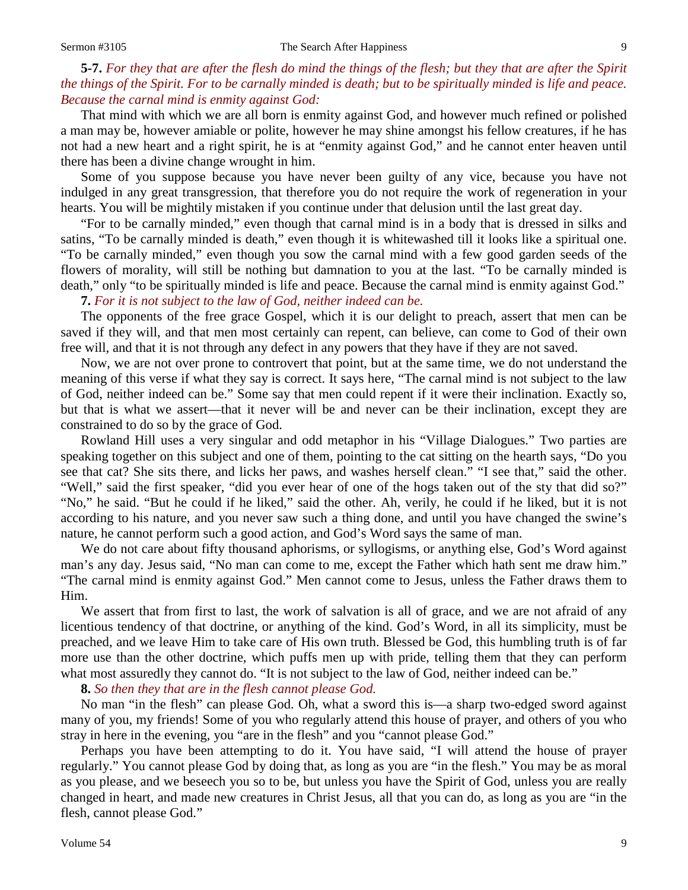# **5-7.** *For they that are after the flesh do mind the things of the flesh; but they that are after the Spirit the things of the Spirit. For to be carnally minded is death; but to be spiritually minded is life and peace. Because the carnal mind is enmity against God:*

That mind with which we are all born is enmity against God, and however much refined or polished a man may be, however amiable or polite, however he may shine amongst his fellow creatures, if he has not had a new heart and a right spirit, he is at "enmity against God," and he cannot enter heaven until there has been a divine change wrought in him.

Some of you suppose because you have never been guilty of any vice, because you have not indulged in any great transgression, that therefore you do not require the work of regeneration in your hearts. You will be mightily mistaken if you continue under that delusion until the last great day.

"For to be carnally minded," even though that carnal mind is in a body that is dressed in silks and satins, "To be carnally minded is death," even though it is whitewashed till it looks like a spiritual one. "To be carnally minded," even though you sow the carnal mind with a few good garden seeds of the flowers of morality, will still be nothing but damnation to you at the last. "To be carnally minded is death," only "to be spiritually minded is life and peace. Because the carnal mind is enmity against God."

#### **7.** *For it is not subject to the law of God, neither indeed can be.*

The opponents of the free grace Gospel, which it is our delight to preach, assert that men can be saved if they will, and that men most certainly can repent, can believe, can come to God of their own free will, and that it is not through any defect in any powers that they have if they are not saved.

Now, we are not over prone to controvert that point, but at the same time, we do not understand the meaning of this verse if what they say is correct. It says here, "The carnal mind is not subject to the law of God, neither indeed can be." Some say that men could repent if it were their inclination. Exactly so, but that is what we assert—that it never will be and never can be their inclination, except they are constrained to do so by the grace of God.

Rowland Hill uses a very singular and odd metaphor in his "Village Dialogues." Two parties are speaking together on this subject and one of them, pointing to the cat sitting on the hearth says, "Do you see that cat? She sits there, and licks her paws, and washes herself clean." "I see that," said the other. "Well," said the first speaker, "did you ever hear of one of the hogs taken out of the sty that did so?" "No," he said. "But he could if he liked," said the other. Ah, verily, he could if he liked, but it is not according to his nature, and you never saw such a thing done, and until you have changed the swine's nature, he cannot perform such a good action, and God's Word says the same of man.

We do not care about fifty thousand aphorisms, or syllogisms, or anything else, God's Word against man's any day. Jesus said, "No man can come to me, except the Father which hath sent me draw him." "The carnal mind is enmity against God." Men cannot come to Jesus, unless the Father draws them to Him.

We assert that from first to last, the work of salvation is all of grace, and we are not afraid of any licentious tendency of that doctrine, or anything of the kind. God's Word, in all its simplicity, must be preached, and we leave Him to take care of His own truth. Blessed be God, this humbling truth is of far more use than the other doctrine, which puffs men up with pride, telling them that they can perform what most assuredly they cannot do. "It is not subject to the law of God, neither indeed can be."

**8.** *So then they that are in the flesh cannot please God.*

No man "in the flesh" can please God. Oh, what a sword this is—a sharp two-edged sword against many of you, my friends! Some of you who regularly attend this house of prayer, and others of you who stray in here in the evening, you "are in the flesh" and you "cannot please God."

Perhaps you have been attempting to do it. You have said, "I will attend the house of prayer regularly." You cannot please God by doing that, as long as you are "in the flesh." You may be as moral as you please, and we beseech you so to be, but unless you have the Spirit of God, unless you are really changed in heart, and made new creatures in Christ Jesus, all that you can do, as long as you are "in the flesh, cannot please God."